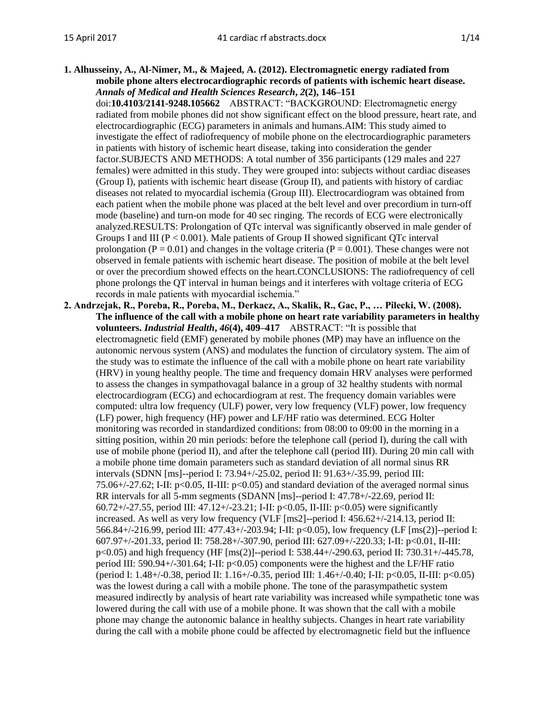**1. Alhusseiny, A., Al-Nimer, M., & Majeed, A. (2012). Electromagnetic energy radiated from mobile phone alters electrocardiographic records of patients with ischemic heart disease.**  *Annals of Medical and Health Sciences Research***,** *2***(2), 146–151**

doi:**10.4103/2141-9248.105662** ABSTRACT: "BACKGROUND: Electromagnetic energy radiated from mobile phones did not show significant effect on the blood pressure, heart rate, and electrocardiographic (ECG) parameters in animals and humans.AIM: This study aimed to investigate the effect of radiofrequency of mobile phone on the electrocardiographic parameters in patients with history of ischemic heart disease, taking into consideration the gender factor.SUBJECTS AND METHODS: A total number of 356 participants (129 males and 227 females) were admitted in this study. They were grouped into: subjects without cardiac diseases (Group I), patients with ischemic heart disease (Group II), and patients with history of cardiac diseases not related to myocardial ischemia (Group III). Electrocardiogram was obtained from each patient when the mobile phone was placed at the belt level and over precordium in turn-off mode (baseline) and turn-on mode for 40 sec ringing. The records of ECG were electronically analyzed.RESULTS: Prolongation of QTc interval was significantly observed in male gender of Groups I and III ( $P < 0.001$ ). Male patients of Group II showed significant QTc interval prolongation ( $P = 0.01$ ) and changes in the voltage criteria ( $P = 0.001$ ). These changes were not observed in female patients with ischemic heart disease. The position of mobile at the belt level or over the precordium showed effects on the heart.CONCLUSIONS: The radiofrequency of cell phone prolongs the QT interval in human beings and it interferes with voltage criteria of ECG records in male patients with myocardial ischemia."

**2. Andrzejak, R., Poreba, R., Poreba, M., Derkacz, A., Skalik, R., Gac, P., … Pilecki, W. (2008). The influence of the call with a mobile phone on heart rate variability parameters in healthy volunteers.** *Industrial Health***,** *46***(4), 409–417** ABSTRACT: "It is possible that electromagnetic field (EMF) generated by mobile phones (MP) may have an influence on the autonomic nervous system (ANS) and modulates the function of circulatory system. The aim of the study was to estimate the influence of the call with a mobile phone on heart rate variability (HRV) in young healthy people. The time and frequency domain HRV analyses were performed to assess the changes in sympathovagal balance in a group of 32 healthy students with normal electrocardiogram (ECG) and echocardiogram at rest. The frequency domain variables were computed: ultra low frequency (ULF) power, very low frequency (VLF) power, low frequency (LF) power, high frequency (HF) power and LF/HF ratio was determined. ECG Holter monitoring was recorded in standardized conditions: from 08:00 to 09:00 in the morning in a sitting position, within 20 min periods: before the telephone call (period I), during the call with use of mobile phone (period II), and after the telephone call (period III). During 20 min call with a mobile phone time domain parameters such as standard deviation of all normal sinus RR intervals (SDNN [ms]--period I: 73.94+/-25.02, period II: 91.63+/-35.99, period III: 75.06+/-27.62; I-II:  $p<0.05$ , II-III:  $p<0.05$ ) and standard deviation of the averaged normal sinus RR intervals for all 5-mm segments (SDANN [ms]--period I: 47.78+/-22.69, period II: 60.72+/-27.55, period III: 47.12+/-23.21; I-II: p<0.05, II-III: p<0.05) were significantly increased. As well as very low frequency (VLF [ms2]--period I: 456.62+/-214.13, period II: 566.84+/-216.99, period III: 477.43+/-203.94; I-II: p<0.05), low frequency (LF [ms(2)]--period I: 607.97+/-201.33, period II: 758.28+/-307.90, period III: 627.09+/-220.33; I-II: p<0.01, II-III: p<0.05) and high frequency (HF [ms(2)]--period I: 538.44+/-290.63, period II: 730.31+/-445.78, period III: 590.94+/-301.64; I-II: p<0.05) components were the highest and the LF/HF ratio (period I: 1.48+/-0.38, period II: 1.16+/-0.35, period III: 1.46+/-0.40; I-II: p<0.05, II-III: p<0.05) was the lowest during a call with a mobile phone. The tone of the parasympathetic system measured indirectly by analysis of heart rate variability was increased while sympathetic tone was lowered during the call with use of a mobile phone. It was shown that the call with a mobile phone may change the autonomic balance in healthy subjects. Changes in heart rate variability during the call with a mobile phone could be affected by electromagnetic field but the influence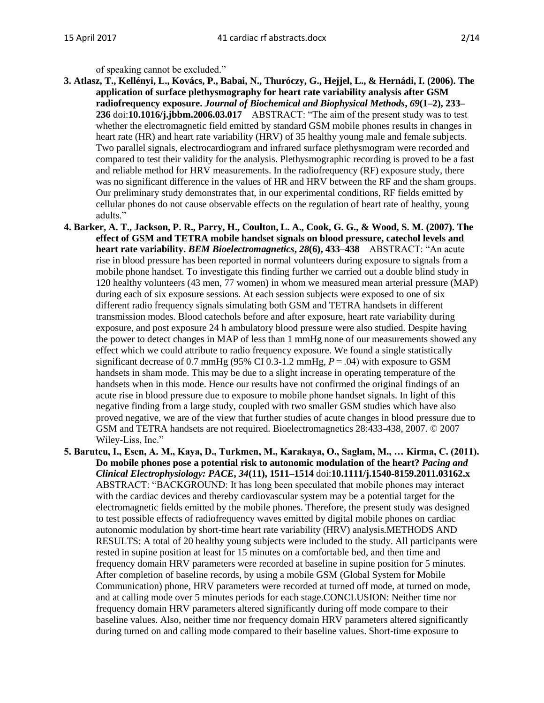of speaking cannot be excluded."

- **3. Atlasz, T., Kellényi, L., Kovács, P., Babai, N., Thuróczy, G., Hejjel, L., & Hernádi, I. (2006). The application of surface plethysmography for heart rate variability analysis after GSM radiofrequency exposure.** *Journal of Biochemical and Biophysical Methods***,** *69***(1–2), 233– 236** doi:**10.1016/j.jbbm.2006.03.017** ABSTRACT: "The aim of the present study was to test whether the electromagnetic field emitted by standard GSM mobile phones results in changes in heart rate (HR) and heart rate variability (HRV) of 35 healthy young male and female subjects. Two parallel signals, electrocardiogram and infrared surface plethysmogram were recorded and compared to test their validity for the analysis. Plethysmographic recording is proved to be a fast and reliable method for HRV measurements. In the radiofrequency (RF) exposure study, there was no significant difference in the values of HR and HRV between the RF and the sham groups. Our preliminary study demonstrates that, in our experimental conditions, RF fields emitted by cellular phones do not cause observable effects on the regulation of heart rate of healthy, young adults."
- **4. Barker, A. T., Jackson, P. R., Parry, H., Coulton, L. A., Cook, G. G., & Wood, S. M. (2007). The effect of GSM and TETRA mobile handset signals on blood pressure, catechol levels and heart rate variability.** *BEM Bioelectromagnetics***,** *28***(6), 433–438** ABSTRACT: "An acute rise in blood pressure has been reported in normal volunteers during exposure to signals from a mobile phone handset. To investigate this finding further we carried out a double blind study in 120 healthy volunteers (43 men, 77 women) in whom we measured mean arterial pressure (MAP) during each of six exposure sessions. At each session subjects were exposed to one of six different radio frequency signals simulating both GSM and TETRA handsets in different transmission modes. Blood catechols before and after exposure, heart rate variability during exposure, and post exposure 24 h ambulatory blood pressure were also studied. Despite having the power to detect changes in MAP of less than 1 mmHg none of our measurements showed any effect which we could attribute to radio frequency exposure. We found a single statistically significant decrease of 0.7 mmHg (95% CI 0.3-1.2 mmHg,  $P = .04$ ) with exposure to GSM handsets in sham mode. This may be due to a slight increase in operating temperature of the handsets when in this mode. Hence our results have not confirmed the original findings of an acute rise in blood pressure due to exposure to mobile phone handset signals. In light of this negative finding from a large study, coupled with two smaller GSM studies which have also proved negative, we are of the view that further studies of acute changes in blood pressure due to GSM and TETRA handsets are not required. Bioelectromagnetics 28:433-438, 2007. © 2007 Wiley-Liss, Inc."
- **5. Barutcu, I., Esen, A. M., Kaya, D., Turkmen, M., Karakaya, O., Saglam, M., … Kirma, C. (2011). Do mobile phones pose a potential risk to autonomic modulation of the heart?** *Pacing and Clinical Electrophysiology: PACE***,** *34***(11), 1511–1514** doi:**10.1111/j.1540-8159.2011.03162.x** ABSTRACT: "BACKGROUND: It has long been speculated that mobile phones may interact with the cardiac devices and thereby cardiovascular system may be a potential target for the electromagnetic fields emitted by the mobile phones. Therefore, the present study was designed to test possible effects of radiofrequency waves emitted by digital mobile phones on cardiac autonomic modulation by short-time heart rate variability (HRV) analysis.METHODS AND RESULTS: A total of 20 healthy young subjects were included to the study. All participants were rested in supine position at least for 15 minutes on a comfortable bed, and then time and frequency domain HRV parameters were recorded at baseline in supine position for 5 minutes. After completion of baseline records, by using a mobile GSM (Global System for Mobile Communication) phone, HRV parameters were recorded at turned off mode, at turned on mode, and at calling mode over 5 minutes periods for each stage.CONCLUSION: Neither time nor frequency domain HRV parameters altered significantly during off mode compare to their baseline values. Also, neither time nor frequency domain HRV parameters altered significantly during turned on and calling mode compared to their baseline values. Short-time exposure to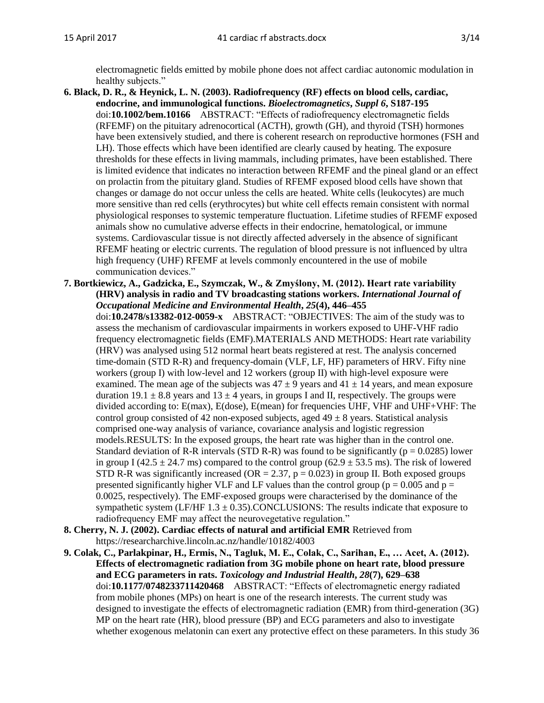electromagnetic fields emitted by mobile phone does not affect cardiac autonomic modulation in healthy subjects."

- **6. Black, D. R., & Heynick, L. N. (2003). Radiofrequency (RF) effects on blood cells, cardiac, endocrine, and immunological functions.** *Bioelectromagnetics***,** *Suppl 6***, S187-195** doi:**10.1002/bem.10166** ABSTRACT: "Effects of radiofrequency electromagnetic fields (RFEMF) on the pituitary adrenocortical (ACTH), growth (GH), and thyroid (TSH) hormones have been extensively studied, and there is coherent research on reproductive hormones (FSH and LH). Those effects which have been identified are clearly caused by heating. The exposure thresholds for these effects in living mammals, including primates, have been established. There is limited evidence that indicates no interaction between RFEMF and the pineal gland or an effect on prolactin from the pituitary gland. Studies of RFEMF exposed blood cells have shown that changes or damage do not occur unless the cells are heated. White cells (leukocytes) are much more sensitive than red cells (erythrocytes) but white cell effects remain consistent with normal physiological responses to systemic temperature fluctuation. Lifetime studies of RFEMF exposed animals show no cumulative adverse effects in their endocrine, hematological, or immune systems. Cardiovascular tissue is not directly affected adversely in the absence of significant RFEMF heating or electric currents. The regulation of blood pressure is not influenced by ultra high frequency (UHF) RFEMF at levels commonly encountered in the use of mobile communication devices."
- **7. Bortkiewicz, A., Gadzicka, E., Szymczak, W., & Zmyślony, M. (2012). Heart rate variability (HRV) analysis in radio and TV broadcasting stations workers.** *International Journal of Occupational Medicine and Environmental Health***,** *25***(4), 446–455**

doi:**10.2478/s13382-012-0059-x** ABSTRACT: "OBJECTIVES: The aim of the study was to assess the mechanism of cardiovascular impairments in workers exposed to UHF-VHF radio frequency electromagnetic fields (EMF).MATERIALS AND METHODS: Heart rate variability (HRV) was analysed using 512 normal heart beats registered at rest. The analysis concerned time-domain (STD R-R) and frequency-domain (VLF, LF, HF) parameters of HRV. Fifty nine workers (group I) with low-level and 12 workers (group II) with high-level exposure were examined. The mean age of the subjects was  $47 \pm 9$  years and  $41 \pm 14$  years, and mean exposure duration  $19.1 \pm 8.8$  years and  $13 \pm 4$  years, in groups I and II, respectively. The groups were divided according to: E(max), E(dose), E(mean) for frequencies UHF, VHF and UHF+VHF: The control group consisted of 42 non-exposed subjects, aged  $49 \pm 8$  years. Statistical analysis comprised one-way analysis of variance, covariance analysis and logistic regression models.RESULTS: In the exposed groups, the heart rate was higher than in the control one. Standard deviation of R-R intervals (STD R-R) was found to be significantly ( $p = 0.0285$ ) lower in group I (42.5  $\pm$  24.7 ms) compared to the control group (62.9  $\pm$  53.5 ms). The risk of lowered STD R-R was significantly increased (OR = 2.37,  $p = 0.023$ ) in group II. Both exposed groups presented significantly higher VLF and LF values than the control group ( $p = 0.005$  and  $p =$ 0.0025, respectively). The EMF-exposed groups were characterised by the dominance of the sympathetic system (LF/HF  $1.3 \pm 0.35$ ).CONCLUSIONS: The results indicate that exposure to radiofrequency EMF may affect the neurovegetative regulation."

- **8. Cherry, N. J. (2002). Cardiac effects of natural and artificial EMR** Retrieved from https://researcharchive.lincoln.ac.nz/handle/10182/4003
- **9. Colak, C., Parlakpinar, H., Ermis, N., Tagluk, M. E., Colak, C., Sarihan, E., … Acet, A. (2012). Effects of electromagnetic radiation from 3G mobile phone on heart rate, blood pressure and ECG parameters in rats.** *Toxicology and Industrial Health***,** *28***(7), 629–638** doi:**10.1177/0748233711420468** ABSTRACT: "Effects of electromagnetic energy radiated from mobile phones (MPs) on heart is one of the research interests. The current study was designed to investigate the effects of electromagnetic radiation (EMR) from third-generation (3G) MP on the heart rate (HR), blood pressure (BP) and ECG parameters and also to investigate whether exogenous melatonin can exert any protective effect on these parameters. In this study 36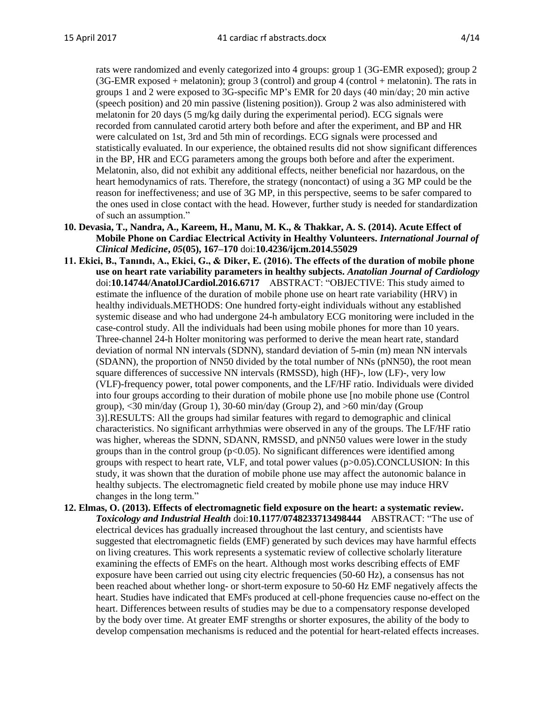rats were randomized and evenly categorized into 4 groups: group 1 (3G-EMR exposed); group 2 (3G-EMR exposed + melatonin); group 3 (control) and group 4 (control + melatonin). The rats in groups 1 and 2 were exposed to 3G-specific MP's EMR for 20 days (40 min/day; 20 min active (speech position) and 20 min passive (listening position)). Group 2 was also administered with melatonin for 20 days (5 mg/kg daily during the experimental period). ECG signals were recorded from cannulated carotid artery both before and after the experiment, and BP and HR were calculated on 1st, 3rd and 5th min of recordings. ECG signals were processed and statistically evaluated. In our experience, the obtained results did not show significant differences in the BP, HR and ECG parameters among the groups both before and after the experiment. Melatonin, also, did not exhibit any additional effects, neither beneficial nor hazardous, on the heart hemodynamics of rats. Therefore, the strategy (noncontact) of using a 3G MP could be the reason for ineffectiveness; and use of 3G MP, in this perspective, seems to be safer compared to the ones used in close contact with the head. However, further study is needed for standardization of such an assumption."

- **10. Devasia, T., Nandra, A., Kareem, H., Manu, M. K., & Thakkar, A. S. (2014). Acute Effect of Mobile Phone on Cardiac Electrical Activity in Healthy Volunteers.** *International Journal of Clinical Medicine***,** *05***(05), 167–170** doi:**10.4236/ijcm.2014.55029**
- **11. Ekici, B., Tanındı, A., Ekici, G., & Diker, E. (2016). The effects of the duration of mobile phone use on heart rate variability parameters in healthy subjects.** *Anatolian Journal of Cardiology* doi:**10.14744/AnatolJCardiol.2016.6717** ABSTRACT: "OBJECTIVE: This study aimed to estimate the influence of the duration of mobile phone use on heart rate variability (HRV) in healthy individuals.METHODS: One hundred forty-eight individuals without any established systemic disease and who had undergone 24-h ambulatory ECG monitoring were included in the case-control study. All the individuals had been using mobile phones for more than 10 years. Three-channel 24-h Holter monitoring was performed to derive the mean heart rate, standard deviation of normal NN intervals (SDNN), standard deviation of 5-min (m) mean NN intervals (SDANN), the proportion of NN50 divided by the total number of NNs (pNN50), the root mean square differences of successive NN intervals (RMSSD), high (HF)-, low (LF)-, very low (VLF)-frequency power, total power components, and the LF/HF ratio. Individuals were divided into four groups according to their duration of mobile phone use [no mobile phone use (Control group),  $\langle 30 \text{ min/day}$  (Group 1), 30-60 min/day (Group 2), and  $>60 \text{ min/day}$  (Group 3)].RESULTS: All the groups had similar features with regard to demographic and clinical characteristics. No significant arrhythmias were observed in any of the groups. The LF/HF ratio was higher, whereas the SDNN, SDANN, RMSSD, and pNN50 values were lower in the study groups than in the control group ( $p<0.05$ ). No significant differences were identified among groups with respect to heart rate, VLF, and total power values (p>0.05).CONCLUSION: In this study, it was shown that the duration of mobile phone use may affect the autonomic balance in healthy subjects. The electromagnetic field created by mobile phone use may induce HRV changes in the long term."
- **12. Elmas, O. (2013). Effects of electromagnetic field exposure on the heart: a systematic review.**  *Toxicology and Industrial Health* doi:**10.1177/0748233713498444** ABSTRACT: "The use of electrical devices has gradually increased throughout the last century, and scientists have suggested that electromagnetic fields (EMF) generated by such devices may have harmful effects on living creatures. This work represents a systematic review of collective scholarly literature examining the effects of EMFs on the heart. Although most works describing effects of EMF exposure have been carried out using city electric frequencies (50-60 Hz), a consensus has not been reached about whether long- or short-term exposure to 50-60 Hz EMF negatively affects the heart. Studies have indicated that EMFs produced at cell-phone frequencies cause no-effect on the heart. Differences between results of studies may be due to a compensatory response developed by the body over time. At greater EMF strengths or shorter exposures, the ability of the body to develop compensation mechanisms is reduced and the potential for heart-related effects increases.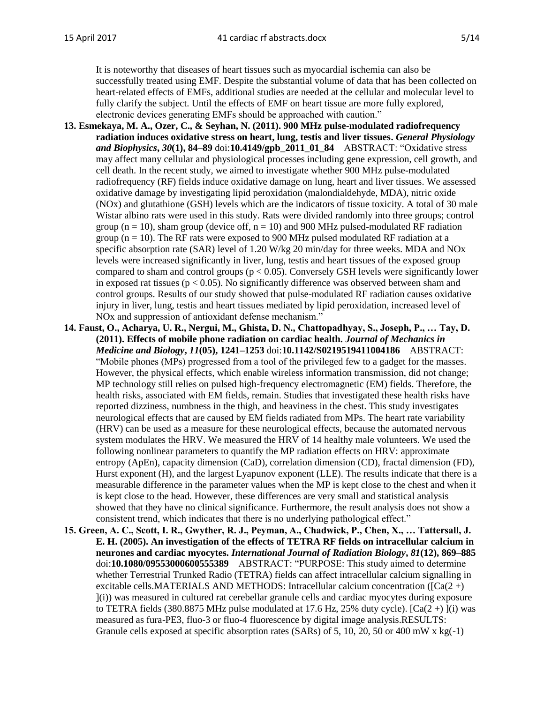It is noteworthy that diseases of heart tissues such as myocardial ischemia can also be successfully treated using EMF. Despite the substantial volume of data that has been collected on heart-related effects of EMFs, additional studies are needed at the cellular and molecular level to fully clarify the subject. Until the effects of EMF on heart tissue are more fully explored, electronic devices generating EMFs should be approached with caution."

- **13. Esmekaya, M. A., Ozer, C., & Seyhan, N. (2011). 900 MHz pulse-modulated radiofrequency radiation induces oxidative stress on heart, lung, testis and liver tissues.** *General Physiology and Biophysics***,** *30***(1), 84–89** doi:**10.4149/gpb\_2011\_01\_84** ABSTRACT: "Oxidative stress may affect many cellular and physiological processes including gene expression, cell growth, and cell death. In the recent study, we aimed to investigate whether 900 MHz pulse-modulated radiofrequency (RF) fields induce oxidative damage on lung, heart and liver tissues. We assessed oxidative damage by investigating lipid peroxidation (malondialdehyde, MDA), nitric oxide (NOx) and glutathione (GSH) levels which are the indicators of tissue toxicity. A total of 30 male Wistar albino rats were used in this study. Rats were divided randomly into three groups; control group ( $n = 10$ ), sham group (device off,  $n = 10$ ) and 900 MHz pulsed-modulated RF radiation group ( $n = 10$ ). The RF rats were exposed to 900 MHz pulsed modulated RF radiation at a specific absorption rate (SAR) level of 1.20 W/kg 20 min/day for three weeks. MDA and NOx levels were increased significantly in liver, lung, testis and heart tissues of the exposed group compared to sham and control groups ( $p < 0.05$ ). Conversely GSH levels were significantly lower in exposed rat tissues ( $p < 0.05$ ). No significantly difference was observed between sham and control groups. Results of our study showed that pulse-modulated RF radiation causes oxidative injury in liver, lung, testis and heart tissues mediated by lipid peroxidation, increased level of NOx and suppression of antioxidant defense mechanism."
- **14. Faust, O., Acharya, U. R., Nergui, M., Ghista, D. N., Chattopadhyay, S., Joseph, P., … Tay, D. (2011). Effects of mobile phone radiation on cardiac health.** *Journal of Mechanics in Medicine and Biology***,** *11***(05), 1241–1253** doi:**10.1142/S0219519411004186** ABSTRACT: "Mobile phones (MPs) progressed from a tool of the privileged few to a gadget for the masses. However, the physical effects, which enable wireless information transmission, did not change; MP technology still relies on pulsed high-frequency electromagnetic (EM) fields. Therefore, the health risks, associated with EM fields, remain. Studies that investigated these health risks have reported dizziness, numbness in the thigh, and heaviness in the chest. This study investigates neurological effects that are caused by EM fields radiated from MPs. The heart rate variability (HRV) can be used as a measure for these neurological effects, because the automated nervous system modulates the HRV. We measured the HRV of 14 healthy male volunteers. We used the following nonlinear parameters to quantify the MP radiation effects on HRV: approximate entropy (ApEn), capacity dimension (CaD), correlation dimension (CD), fractal dimension (FD), Hurst exponent (H), and the largest Lyapunov exponent (LLE). The results indicate that there is a measurable difference in the parameter values when the MP is kept close to the chest and when it is kept close to the head. However, these differences are very small and statistical analysis showed that they have no clinical significance. Furthermore, the result analysis does not show a consistent trend, which indicates that there is no underlying pathological effect."
- **15. Green, A. C., Scott, I. R., Gwyther, R. J., Peyman, A., Chadwick, P., Chen, X., … Tattersall, J. E. H. (2005). An investigation of the effects of TETRA RF fields on intracellular calcium in neurones and cardiac myocytes.** *International Journal of Radiation Biology***,** *81***(12), 869–885** doi:**10.1080/09553000600555389** ABSTRACT: "PURPOSE: This study aimed to determine whether Terrestrial Trunked Radio (TETRA) fields can affect intracellular calcium signalling in excitable cells.MATERIALS AND METHODS: Intracellular calcium concentration ( $\Gamma$ Ca(2 +) ](i)) was measured in cultured rat cerebellar granule cells and cardiac myocytes during exposure to TETRA fields (380.8875 MHz pulse modulated at 17.6 Hz, 25% duty cycle).  $[Ca(2 + )](i)$  was measured as fura-PE3, fluo-3 or fluo-4 fluorescence by digital image analysis.RESULTS: Granule cells exposed at specific absorption rates (SARs) of 5, 10, 20, 50 or 400 mW x kg( $-1$ )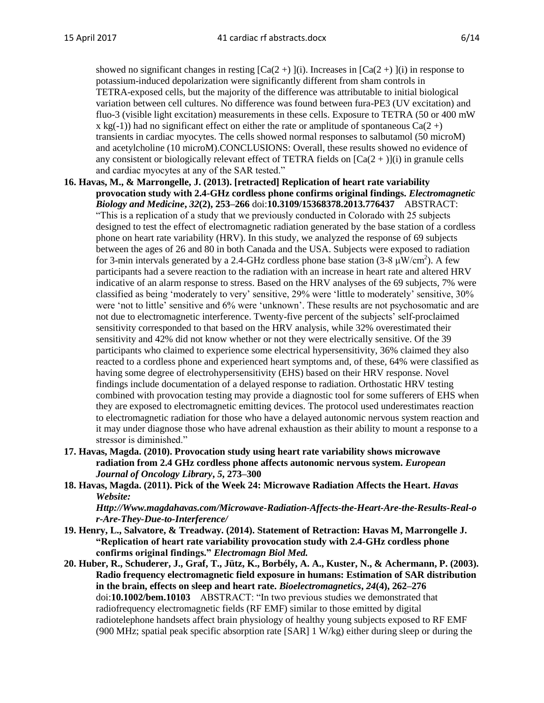showed no significant changes in resting  $[Ca(2+)](i)$ . Increases in  $[Ca(2+)](i)$  in response to potassium-induced depolarization were significantly different from sham controls in TETRA-exposed cells, but the majority of the difference was attributable to initial biological variation between cell cultures. No difference was found between fura-PE3 (UV excitation) and fluo-3 (visible light excitation) measurements in these cells. Exposure to TETRA (50 or 400 mW x kg(-1)) had no significant effect on either the rate or amplitude of spontaneous  $Ca(2+)$ transients in cardiac myocytes. The cells showed normal responses to salbutamol (50 microM) and acetylcholine (10 microM).CONCLUSIONS: Overall, these results showed no evidence of any consistent or biologically relevant effect of TETRA fields on  $[Ca(2 + )](i)$  in granule cells and cardiac myocytes at any of the SAR tested."

**16. Havas, M., & Marrongelle, J. (2013). [retracted] Replication of heart rate variability provocation study with 2.4-GHz cordless phone confirms original findings.** *Electromagnetic Biology and Medicine***,** *32***(2), 253–266** doi:**10.3109/15368378.2013.776437** ABSTRACT: "This is a replication of a study that we previously conducted in Colorado with 25 subjects designed to test the effect of electromagnetic radiation generated by the base station of a cordless phone on heart rate variability (HRV). In this study, we analyzed the response of 69 subjects between the ages of 26 and 80 in both Canada and the USA. Subjects were exposed to radiation for 3-min intervals generated by a 2.4-GHz cordless phone base station (3-8  $\mu$ W/cm<sup>2</sup>). A few participants had a severe reaction to the radiation with an increase in heart rate and altered HRV indicative of an alarm response to stress. Based on the HRV analyses of the 69 subjects, 7% were classified as being 'moderately to very' sensitive, 29% were 'little to moderately' sensitive, 30% were 'not to little' sensitive and 6% were 'unknown'. These results are not psychosomatic and are not due to electromagnetic interference. Twenty-five percent of the subjects' self-proclaimed sensitivity corresponded to that based on the HRV analysis, while 32% overestimated their sensitivity and 42% did not know whether or not they were electrically sensitive. Of the 39 participants who claimed to experience some electrical hypersensitivity, 36% claimed they also reacted to a cordless phone and experienced heart symptoms and, of these, 64% were classified as having some degree of electrohypersensitivity (EHS) based on their HRV response. Novel findings include documentation of a delayed response to radiation. Orthostatic HRV testing combined with provocation testing may provide a diagnostic tool for some sufferers of EHS when they are exposed to electromagnetic emitting devices. The protocol used underestimates reaction to electromagnetic radiation for those who have a delayed autonomic nervous system reaction and it may under diagnose those who have adrenal exhaustion as their ability to mount a response to a stressor is diminished."

- **17. Havas, Magda. (2010). Provocation study using heart rate variability shows microwave radiation from 2.4 GHz cordless phone affects autonomic nervous system.** *European Journal of Oncology Library***,** *5***, 273–300**
- **18. Havas, Magda. (2011). Pick of the Week 24: Microwave Radiation Affects the Heart.** *Havas Website:*

*Http://Www.magdahavas.com/Microwave-Radiation-Affects-the-Heart-Are-the-Results-Real-o r-Are-They-Due-to-Interference/*

- **19. Henry, L., Salvatore, & Treadway. (2014). Statement of Retraction: Havas M, Marrongelle J. "Replication of heart rate variability provocation study with 2.4-GHz cordless phone confirms original findings."** *Electromagn Biol Med.*
- **20. Huber, R., Schuderer, J., Graf, T., Jütz, K., Borbély, A. A., Kuster, N., & Achermann, P. (2003). Radio frequency electromagnetic field exposure in humans: Estimation of SAR distribution in the brain, effects on sleep and heart rate.** *Bioelectromagnetics***,** *24***(4), 262–276** doi:**10.1002/bem.10103** ABSTRACT: "In two previous studies we demonstrated that radiofrequency electromagnetic fields (RF EMF) similar to those emitted by digital radiotelephone handsets affect brain physiology of healthy young subjects exposed to RF EMF (900 MHz; spatial peak specific absorption rate [SAR] 1 W/kg) either during sleep or during the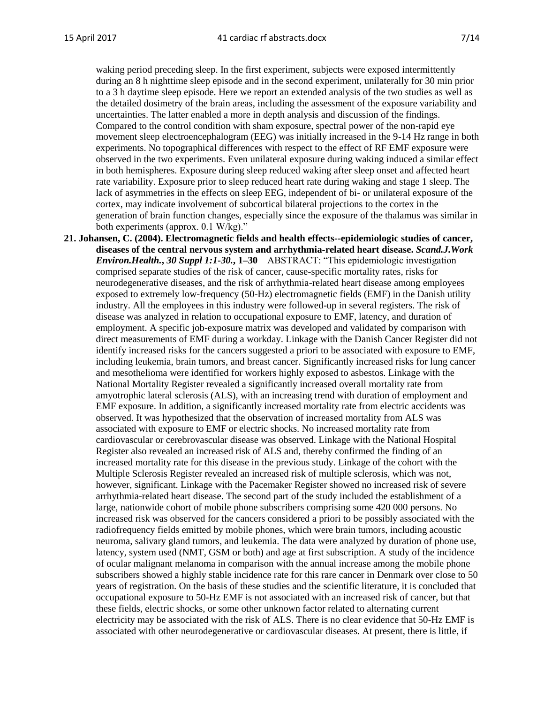waking period preceding sleep. In the first experiment, subjects were exposed intermittently during an 8 h nighttime sleep episode and in the second experiment, unilaterally for 30 min prior to a 3 h daytime sleep episode. Here we report an extended analysis of the two studies as well as the detailed dosimetry of the brain areas, including the assessment of the exposure variability and uncertainties. The latter enabled a more in depth analysis and discussion of the findings. Compared to the control condition with sham exposure, spectral power of the non-rapid eye movement sleep electroencephalogram (EEG) was initially increased in the 9-14 Hz range in both experiments. No topographical differences with respect to the effect of RF EMF exposure were observed in the two experiments. Even unilateral exposure during waking induced a similar effect in both hemispheres. Exposure during sleep reduced waking after sleep onset and affected heart rate variability. Exposure prior to sleep reduced heart rate during waking and stage 1 sleep. The lack of asymmetries in the effects on sleep EEG, independent of bi- or unilateral exposure of the cortex, may indicate involvement of subcortical bilateral projections to the cortex in the generation of brain function changes, especially since the exposure of the thalamus was similar in both experiments (approx. 0.1 W/kg)."

**21. Johansen, C. (2004). Electromagnetic fields and health effects--epidemiologic studies of cancer, diseases of the central nervous system and arrhythmia-related heart disease.** *Scand.J.Work Environ.Health.***,** *30 Suppl 1:1***-***30.***, 1–30** ABSTRACT: "This epidemiologic investigation comprised separate studies of the risk of cancer, cause-specific mortality rates, risks for neurodegenerative diseases, and the risk of arrhythmia-related heart disease among employees exposed to extremely low-frequency (50-Hz) electromagnetic fields (EMF) in the Danish utility industry. All the employees in this industry were followed-up in several registers. The risk of disease was analyzed in relation to occupational exposure to EMF, latency, and duration of employment. A specific job-exposure matrix was developed and validated by comparison with direct measurements of EMF during a workday. Linkage with the Danish Cancer Register did not identify increased risks for the cancers suggested a priori to be associated with exposure to EMF, including leukemia, brain tumors, and breast cancer. Significantly increased risks for lung cancer and mesothelioma were identified for workers highly exposed to asbestos. Linkage with the National Mortality Register revealed a significantly increased overall mortality rate from amyotrophic lateral sclerosis (ALS), with an increasing trend with duration of employment and EMF exposure. In addition, a significantly increased mortality rate from electric accidents was observed. It was hypothesized that the observation of increased mortality from ALS was associated with exposure to EMF or electric shocks. No increased mortality rate from cardiovascular or cerebrovascular disease was observed. Linkage with the National Hospital Register also revealed an increased risk of ALS and, thereby confirmed the finding of an increased mortality rate for this disease in the previous study. Linkage of the cohort with the Multiple Sclerosis Register revealed an increased risk of multiple sclerosis, which was not, however, significant. Linkage with the Pacemaker Register showed no increased risk of severe arrhythmia-related heart disease. The second part of the study included the establishment of a large, nationwide cohort of mobile phone subscribers comprising some 420 000 persons. No increased risk was observed for the cancers considered a priori to be possibly associated with the radiofrequency fields emitted by mobile phones, which were brain tumors, including acoustic neuroma, salivary gland tumors, and leukemia. The data were analyzed by duration of phone use, latency, system used (NMT, GSM or both) and age at first subscription. A study of the incidence of ocular malignant melanoma in comparison with the annual increase among the mobile phone subscribers showed a highly stable incidence rate for this rare cancer in Denmark over close to 50 years of registration. On the basis of these studies and the scientific literature, it is concluded that occupational exposure to 50-Hz EMF is not associated with an increased risk of cancer, but that these fields, electric shocks, or some other unknown factor related to alternating current electricity may be associated with the risk of ALS. There is no clear evidence that 50-Hz EMF is associated with other neurodegenerative or cardiovascular diseases. At present, there is little, if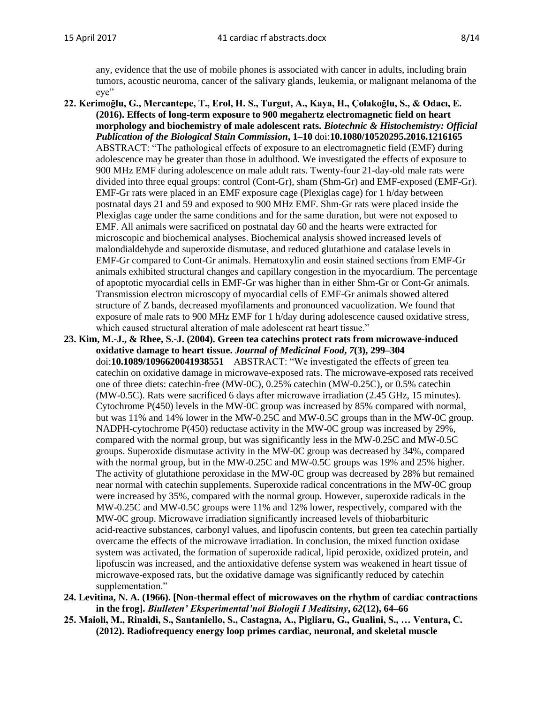any, evidence that the use of mobile phones is associated with cancer in adults, including brain tumors, acoustic neuroma, cancer of the salivary glands, leukemia, or malignant melanoma of the eye"

- **22. Kerimoğlu, G., Mercantepe, T., Erol, H. S., Turgut, A., Kaya, H., Çolakoğlu, S., & Odacı, E. (2016). Effects of long-term exposure to 900 megahertz electromagnetic field on heart morphology and biochemistry of male adolescent rats.** *Biotechnic & Histochemistry: Official Publication of the Biological Stain Commission***, 1–10** doi:**10.1080/10520295.2016.1216165** ABSTRACT: "The pathological effects of exposure to an electromagnetic field (EMF) during adolescence may be greater than those in adulthood. We investigated the effects of exposure to 900 MHz EMF during adolescence on male adult rats. Twenty-four 21-day-old male rats were divided into three equal groups: control (Cont-Gr), sham (Shm-Gr) and EMF-exposed (EMF-Gr). EMF-Gr rats were placed in an EMF exposure cage (Plexiglas cage) for 1 h/day between postnatal days 21 and 59 and exposed to 900 MHz EMF. Shm-Gr rats were placed inside the Plexiglas cage under the same conditions and for the same duration, but were not exposed to EMF. All animals were sacrificed on postnatal day 60 and the hearts were extracted for microscopic and biochemical analyses. Biochemical analysis showed increased levels of malondialdehyde and superoxide dismutase, and reduced glutathione and catalase levels in EMF-Gr compared to Cont-Gr animals. Hematoxylin and eosin stained sections from EMF-Gr animals exhibited structural changes and capillary congestion in the myocardium. The percentage of apoptotic myocardial cells in EMF-Gr was higher than in either Shm-Gr or Cont-Gr animals. Transmission electron microscopy of myocardial cells of EMF-Gr animals showed altered structure of Z bands, decreased myofilaments and pronounced vacuolization. We found that exposure of male rats to 900 MHz EMF for 1 h/day during adolescence caused oxidative stress, which caused structural alteration of male adolescent rat heart tissue."
- **23. Kim, M.-J., & Rhee, S.-J. (2004). Green tea catechins protect rats from microwave-induced oxidative damage to heart tissue.** *Journal of Medicinal Food***,** *7***(3), 299–304** doi:**10.1089/1096620041938551** ABSTRACT: "We investigated the effects of green tea catechin on oxidative damage in microwave-exposed rats. The microwave-exposed rats received one of three diets: catechin-free (MW-0C), 0.25% catechin (MW-0.25C), or 0.5% catechin (MW-0.5C). Rats were sacrificed 6 days after microwave irradiation (2.45 GHz, 15 minutes). Cytochrome P(450) levels in the MW-0C group was increased by 85% compared with normal, but was 11% and 14% lower in the MW-0.25C and MW-0.5C groups than in the MW-0C group. NADPH-cytochrome P(450) reductase activity in the MW-0C group was increased by 29%, compared with the normal group, but was significantly less in the MW-0.25C and MW-0.5C groups. Superoxide dismutase activity in the MW-0C group was decreased by 34%, compared with the normal group, but in the MW-0.25C and MW-0.5C groups was 19% and 25% higher. The activity of glutathione peroxidase in the MW-0C group was decreased by 28% but remained near normal with catechin supplements. Superoxide radical concentrations in the MW-0C group were increased by 35%, compared with the normal group. However, superoxide radicals in the MW-0.25C and MW-0.5C groups were 11% and 12% lower, respectively, compared with the MW-0C group. Microwave irradiation significantly increased levels of thiobarbituric acid-reactive substances, carbonyl values, and lipofuscin contents, but green tea catechin partially overcame the effects of the microwave irradiation. In conclusion, the mixed function oxidase system was activated, the formation of superoxide radical, lipid peroxide, oxidized protein, and lipofuscin was increased, and the antioxidative defense system was weakened in heart tissue of microwave-exposed rats, but the oxidative damage was significantly reduced by catechin supplementation."
- **24. Levitina, N. A. (1966). [Non-thermal effect of microwaves on the rhythm of cardiac contractions in the frog].** *Biulleten' Eksperimental'noĭ Biologii I Meditsiny***,** *62***(12), 64–66**
- **25. Maioli, M., Rinaldi, S., Santaniello, S., Castagna, A., Pigliaru, G., Gualini, S., … Ventura, C. (2012). Radiofrequency energy loop primes cardiac, neuronal, and skeletal muscle**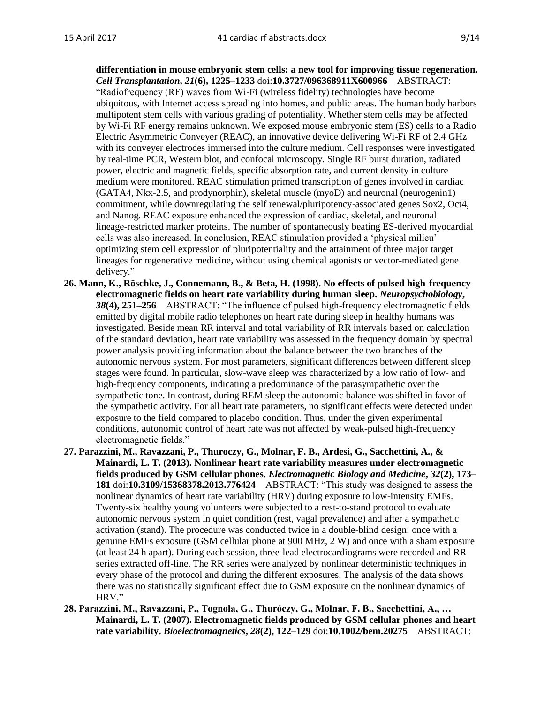**differentiation in mouse embryonic stem cells: a new tool for improving tissue regeneration.**  *Cell Transplantation***,** *21***(6), 1225–1233** doi:**10.3727/096368911X600966** ABSTRACT: "Radiofrequency (RF) waves from Wi-Fi (wireless fidelity) technologies have become ubiquitous, with Internet access spreading into homes, and public areas. The human body harbors multipotent stem cells with various grading of potentiality. Whether stem cells may be affected by Wi-Fi RF energy remains unknown. We exposed mouse embryonic stem (ES) cells to a Radio Electric Asymmetric Conveyer (REAC), an innovative device delivering Wi-Fi RF of 2.4 GHz with its conveyer electrodes immersed into the culture medium. Cell responses were investigated by real-time PCR, Western blot, and confocal microscopy. Single RF burst duration, radiated power, electric and magnetic fields, specific absorption rate, and current density in culture medium were monitored. REAC stimulation primed transcription of genes involved in cardiac (GATA4, Nkx-2.5, and prodynorphin), skeletal muscle (myoD) and neuronal (neurogenin1) commitment, while downregulating the self renewal/pluripotency-associated genes Sox2, Oct4, and Nanog. REAC exposure enhanced the expression of cardiac, skeletal, and neuronal lineage-restricted marker proteins. The number of spontaneously beating ES-derived myocardial cells was also increased. In conclusion, REAC stimulation provided a 'physical milieu' optimizing stem cell expression of pluripotentiality and the attainment of three major target lineages for regenerative medicine, without using chemical agonists or vector-mediated gene delivery."

- **26. Mann, K., Röschke, J., Connemann, B., & Beta, H. (1998). No effects of pulsed high-frequency electromagnetic fields on heart rate variability during human sleep.** *Neuropsychobiology***,**  *38***(4), 251–256** ABSTRACT: "The influence of pulsed high-frequency electromagnetic fields emitted by digital mobile radio telephones on heart rate during sleep in healthy humans was investigated. Beside mean RR interval and total variability of RR intervals based on calculation of the standard deviation, heart rate variability was assessed in the frequency domain by spectral power analysis providing information about the balance between the two branches of the autonomic nervous system. For most parameters, significant differences between different sleep stages were found. In particular, slow-wave sleep was characterized by a low ratio of low- and high-frequency components, indicating a predominance of the parasympathetic over the sympathetic tone. In contrast, during REM sleep the autonomic balance was shifted in favor of the sympathetic activity. For all heart rate parameters, no significant effects were detected under exposure to the field compared to placebo condition. Thus, under the given experimental conditions, autonomic control of heart rate was not affected by weak-pulsed high-frequency electromagnetic fields."
- **27. Parazzini, M., Ravazzani, P., Thuroczy, G., Molnar, F. B., Ardesi, G., Sacchettini, A., & Mainardi, L. T. (2013). Nonlinear heart rate variability measures under electromagnetic fields produced by GSM cellular phones.** *Electromagnetic Biology and Medicine***,** *32***(2), 173– 181** doi:**10.3109/15368378.2013.776424** ABSTRACT: "This study was designed to assess the nonlinear dynamics of heart rate variability (HRV) during exposure to low-intensity EMFs. Twenty-six healthy young volunteers were subjected to a rest-to-stand protocol to evaluate autonomic nervous system in quiet condition (rest, vagal prevalence) and after a sympathetic activation (stand). The procedure was conducted twice in a double-blind design: once with a genuine EMFs exposure (GSM cellular phone at 900 MHz, 2 W) and once with a sham exposure (at least 24 h apart). During each session, three-lead electrocardiograms were recorded and RR series extracted off-line. The RR series were analyzed by nonlinear deterministic techniques in every phase of the protocol and during the different exposures. The analysis of the data shows there was no statistically significant effect due to GSM exposure on the nonlinear dynamics of HRV."
- **28. Parazzini, M., Ravazzani, P., Tognola, G., Thuróczy, G., Molnar, F. B., Sacchettini, A., … Mainardi, L. T. (2007). Electromagnetic fields produced by GSM cellular phones and heart rate variability.** *Bioelectromagnetics***,** *28***(2), 122–129** doi:**10.1002/bem.20275** ABSTRACT: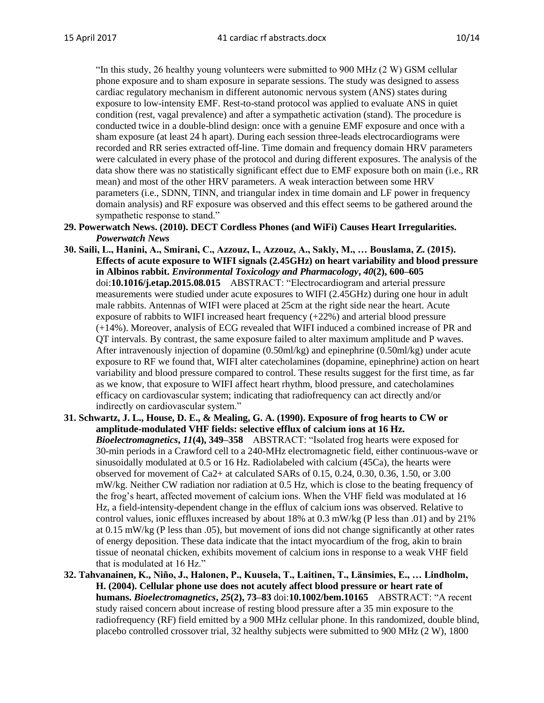"In this study, 26 healthy young volunteers were submitted to 900 MHz (2 W) GSM cellular phone exposure and to sham exposure in separate sessions. The study was designed to assess cardiac regulatory mechanism in different autonomic nervous system (ANS) states during exposure to low-intensity EMF. Rest-to-stand protocol was applied to evaluate ANS in quiet condition (rest, vagal prevalence) and after a sympathetic activation (stand). The procedure is conducted twice in a double-blind design: once with a genuine EMF exposure and once with a sham exposure (at least 24 h apart). During each session three-leads electrocardiograms were recorded and RR series extracted off-line. Time domain and frequency domain HRV parameters were calculated in every phase of the protocol and during different exposures. The analysis of the data show there was no statistically significant effect due to EMF exposure both on main (i.e., RR mean) and most of the other HRV parameters. A weak interaction between some HRV parameters (i.e., SDNN, TINN, and triangular index in time domain and LF power in frequency domain analysis) and RF exposure was observed and this effect seems to be gathered around the sympathetic response to stand."

- **29. Powerwatch News. (2010). DECT Cordless Phones (and WiFi) Causes Heart Irregularities.**  *Powerwatch News*
- **30. Saili, L., Hanini, A., Smirani, C., Azzouz, I., Azzouz, A., Sakly, M., … Bouslama, Z. (2015). Effects of acute exposure to WIFI signals (2.45GHz) on heart variability and blood pressure in Albinos rabbit.** *Environmental Toxicology and Pharmacology***,** *40***(2), 600–605** doi:**10.1016/j.etap.2015.08.015** ABSTRACT: "Electrocardiogram and arterial pressure measurements were studied under acute exposures to WIFI (2.45GHz) during one hour in adult male rabbits. Antennas of WIFI were placed at 25cm at the right side near the heart. Acute exposure of rabbits to WIFI increased heart frequency (+22%) and arterial blood pressure (+14%). Moreover, analysis of ECG revealed that WIFI induced a combined increase of PR and QT intervals. By contrast, the same exposure failed to alter maximum amplitude and P waves. After intravenously injection of dopamine (0.50ml/kg) and epinephrine (0.50ml/kg) under acute exposure to RF we found that, WIFI alter catecholamines (dopamine, epinephrine) action on heart variability and blood pressure compared to control. These results suggest for the first time, as far as we know, that exposure to WIFI affect heart rhythm, blood pressure, and catecholamines efficacy on cardiovascular system; indicating that radiofrequency can act directly and/or indirectly on cardiovascular system."
- **31. Schwartz, J. L., House, D. E., & Mealing, G. A. (1990). Exposure of frog hearts to CW or amplitude-modulated VHF fields: selective efflux of calcium ions at 16 Hz.**  *Bioelectromagnetics***,** *11***(4), 349–358** ABSTRACT: "Isolated frog hearts were exposed for 30-min periods in a Crawford cell to a 240-MHz electromagnetic field, either continuous-wave or sinusoidally modulated at 0.5 or 16 Hz. Radiolabeled with calcium (45Ca), the hearts were observed for movement of Ca2+ at calculated SARs of 0.15, 0.24, 0.30, 0.36, 1.50, or 3.00 mW/kg. Neither CW radiation nor radiation at 0.5 Hz, which is close to the beating frequency of the frog's heart, affected movement of calcium ions. When the VHF field was modulated at 16 Hz, a field-intensity-dependent change in the efflux of calcium ions was observed. Relative to control values, ionic effluxes increased by about 18% at 0.3 mW/kg (P less than .01) and by 21% at 0.15 mW/kg (P less than .05), but movement of ions did not change significantly at other rates of energy deposition. These data indicate that the intact myocardium of the frog, akin to brain tissue of neonatal chicken, exhibits movement of calcium ions in response to a weak VHF field that is modulated at 16 Hz."
- **32. Tahvanainen, K., Niño, J., Halonen, P., Kuusela, T., Laitinen, T., Länsimies, E., … Lindholm, H. (2004). Cellular phone use does not acutely affect blood pressure or heart rate of humans.** *Bioelectromagnetics***,** *25***(2), 73–83** doi:**10.1002/bem.10165** ABSTRACT: "A recent study raised concern about increase of resting blood pressure after a 35 min exposure to the radiofrequency (RF) field emitted by a 900 MHz cellular phone. In this randomized, double blind, placebo controlled crossover trial, 32 healthy subjects were submitted to 900 MHz (2 W), 1800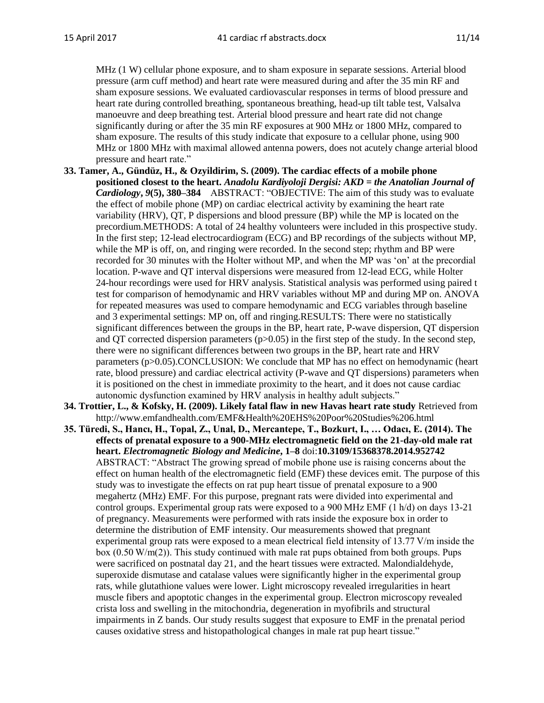MHz (1 W) cellular phone exposure, and to sham exposure in separate sessions. Arterial blood pressure (arm cuff method) and heart rate were measured during and after the 35 min RF and sham exposure sessions. We evaluated cardiovascular responses in terms of blood pressure and heart rate during controlled breathing, spontaneous breathing, head-up tilt table test, Valsalva manoeuvre and deep breathing test. Arterial blood pressure and heart rate did not change significantly during or after the 35 min RF exposures at 900 MHz or 1800 MHz, compared to sham exposure. The results of this study indicate that exposure to a cellular phone, using 900 MHz or 1800 MHz with maximal allowed antenna powers, does not acutely change arterial blood pressure and heart rate."

- **33. Tamer, A., Gündüz, H., & Ozyildirim, S. (2009). The cardiac effects of a mobile phone positioned closest to the heart.** *Anadolu Kardiyoloji Dergisi: AKD = the Anatolian Journal of Cardiology***,** *9***(5), 380–384** ABSTRACT: "OBJECTIVE: The aim of this study was to evaluate the effect of mobile phone (MP) on cardiac electrical activity by examining the heart rate variability (HRV), QT, P dispersions and blood pressure (BP) while the MP is located on the precordium.METHODS: A total of 24 healthy volunteers were included in this prospective study. In the first step; 12-lead electrocardiogram (ECG) and BP recordings of the subjects without MP, while the MP is off, on, and ringing were recorded. In the second step; rhythm and BP were recorded for 30 minutes with the Holter without MP, and when the MP was 'on' at the precordial location. P-wave and QT interval dispersions were measured from 12-lead ECG, while Holter 24-hour recordings were used for HRV analysis. Statistical analysis was performed using paired t test for comparison of hemodynamic and HRV variables without MP and during MP on. ANOVA for repeated measures was used to compare hemodynamic and ECG variables through baseline and 3 experimental settings: MP on, off and ringing.RESULTS: There were no statistically significant differences between the groups in the BP, heart rate, P-wave dispersion, QT dispersion and QT corrected dispersion parameters  $(p>0.05)$  in the first step of the study. In the second step, there were no significant differences between two groups in the BP, heart rate and HRV parameters (p>0.05).CONCLUSION: We conclude that MP has no effect on hemodynamic (heart rate, blood pressure) and cardiac electrical activity (P-wave and QT dispersions) parameters when it is positioned on the chest in immediate proximity to the heart, and it does not cause cardiac autonomic dysfunction examined by HRV analysis in healthy adult subjects."
- **34. Trottier, L., & Kofsky, H. (2009). Likely fatal flaw in new Havas heart rate study** Retrieved from http://www.emfandhealth.com/EMF&Health%20EHS%20Poor%20Studies%206.html
- **35. Türedi, S., Hancı, H., Topal, Z., Unal, D., Mercantepe, T., Bozkurt, I., … Odacı, E. (2014). The effects of prenatal exposure to a 900-MHz electromagnetic field on the 21-day-old male rat heart.** *Electromagnetic Biology and Medicine***, 1–8** doi:**10.3109/15368378.2014.952742** ABSTRACT: "Abstract The growing spread of mobile phone use is raising concerns about the effect on human health of the electromagnetic field (EMF) these devices emit. The purpose of this study was to investigate the effects on rat pup heart tissue of prenatal exposure to a 900 megahertz (MHz) EMF. For this purpose, pregnant rats were divided into experimental and control groups. Experimental group rats were exposed to a 900 MHz EMF (1 h/d) on days 13-21 of pregnancy. Measurements were performed with rats inside the exposure box in order to determine the distribution of EMF intensity. Our measurements showed that pregnant experimental group rats were exposed to a mean electrical field intensity of 13.77 V/m inside the box (0.50 W/m(2)). This study continued with male rat pups obtained from both groups. Pups were sacrificed on postnatal day 21, and the heart tissues were extracted. Malondialdehyde, superoxide dismutase and catalase values were significantly higher in the experimental group rats, while glutathione values were lower. Light microscopy revealed irregularities in heart muscle fibers and apoptotic changes in the experimental group. Electron microscopy revealed crista loss and swelling in the mitochondria, degeneration in myofibrils and structural impairments in Z bands. Our study results suggest that exposure to EMF in the prenatal period causes oxidative stress and histopathological changes in male rat pup heart tissue."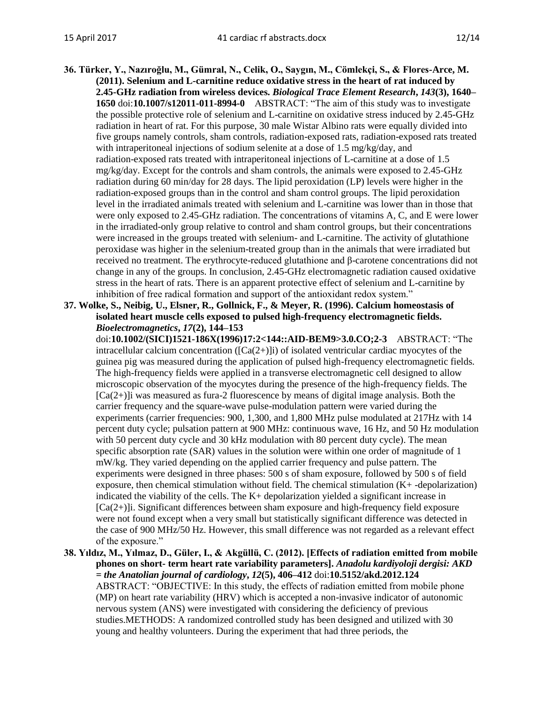- **36. Türker, Y., Nazıroğlu, M., Gümral, N., Celik, O., Saygın, M., Cömlekçi, S., & Flores-Arce, M. (2011). Selenium and L-carnitine reduce oxidative stress in the heart of rat induced by 2.45-GHz radiation from wireless devices.** *Biological Trace Element Research***,** *143***(3), 1640– 1650** doi:**10.1007/s12011-011-8994-0** ABSTRACT: "The aim of this study was to investigate the possible protective role of selenium and L-carnitine on oxidative stress induced by 2.45-GHz radiation in heart of rat. For this purpose, 30 male Wistar Albino rats were equally divided into five groups namely controls, sham controls, radiation-exposed rats, radiation-exposed rats treated with intraperitoneal injections of sodium selenite at a dose of 1.5 mg/kg/day, and radiation-exposed rats treated with intraperitoneal injections of L-carnitine at a dose of 1.5 mg/kg/day. Except for the controls and sham controls, the animals were exposed to 2.45-GHz radiation during 60 min/day for 28 days. The lipid peroxidation (LP) levels were higher in the radiation-exposed groups than in the control and sham control groups. The lipid peroxidation level in the irradiated animals treated with selenium and L-carnitine was lower than in those that were only exposed to 2.45-GHz radiation. The concentrations of vitamins A, C, and E were lower in the irradiated-only group relative to control and sham control groups, but their concentrations were increased in the groups treated with selenium- and L-carnitine. The activity of glutathione peroxidase was higher in the selenium-treated group than in the animals that were irradiated but received no treatment. The erythrocyte-reduced glutathione and β-carotene concentrations did not change in any of the groups. In conclusion, 2.45-GHz electromagnetic radiation caused oxidative stress in the heart of rats. There is an apparent protective effect of selenium and L-carnitine by inhibition of free radical formation and support of the antioxidant redox system."
- **37. Wolke, S., Neibig, U., Elsner, R., Gollnick, F., & Meyer, R. (1996). Calcium homeostasis of isolated heart muscle cells exposed to pulsed high-frequency electromagnetic fields.**  *Bioelectromagnetics***,** *17***(2), 144–153**

doi:**10.1002/(SICI)1521-186X(1996)17:2<144::AID-BEM9>3.0.CO;2-3** ABSTRACT: "The intracellular calcium concentration  $(\text{[Ca}(2+))i)$  of isolated ventricular cardiac myocytes of the guinea pig was measured during the application of pulsed high-frequency electromagnetic fields. The high-frequency fields were applied in a transverse electromagnetic cell designed to allow microscopic observation of the myocytes during the presence of the high-frequency fields. The  $[Ca(2+)]i$  was measured as fura-2 fluorescence by means of digital image analysis. Both the carrier frequency and the square-wave pulse-modulation pattern were varied during the experiments (carrier frequencies: 900, 1,300, and 1,800 MHz pulse modulated at 217Hz with 14 percent duty cycle; pulsation pattern at 900 MHz: continuous wave, 16 Hz, and 50 Hz modulation with 50 percent duty cycle and 30 kHz modulation with 80 percent duty cycle). The mean specific absorption rate (SAR) values in the solution were within one order of magnitude of 1 mW/kg. They varied depending on the applied carrier frequency and pulse pattern. The experiments were designed in three phases: 500 s of sham exposure, followed by 500 s of field exposure, then chemical stimulation without field. The chemical stimulation (K+ -depolarization) indicated the viability of the cells. The  $K<sub>+</sub>$  depolarization yielded a significant increase in [Ca(2+)]i. Significant differences between sham exposure and high-frequency field exposure were not found except when a very small but statistically significant difference was detected in the case of 900 MHz/50 Hz. However, this small difference was not regarded as a relevant effect of the exposure."

**38. Yıldız, M., Yılmaz, D., Güler, I., & Akgüllü, C. (2012). [Effects of radiation emitted from mobile phones on short- term heart rate variability parameters].** *Anadolu kardiyoloji dergisi: AKD = the Anatolian journal of cardiology***,** *12***(5), 406–412** doi:**10.5152/akd.2012.124** ABSTRACT: "OBJECTIVE: In this study, the effects of radiation emitted from mobile phone (MP) on heart rate variability (HRV) which is accepted a non-invasive indicator of autonomic nervous system (ANS) were investigated with considering the deficiency of previous studies.METHODS: A randomized controlled study has been designed and utilized with 30 young and healthy volunteers. During the experiment that had three periods, the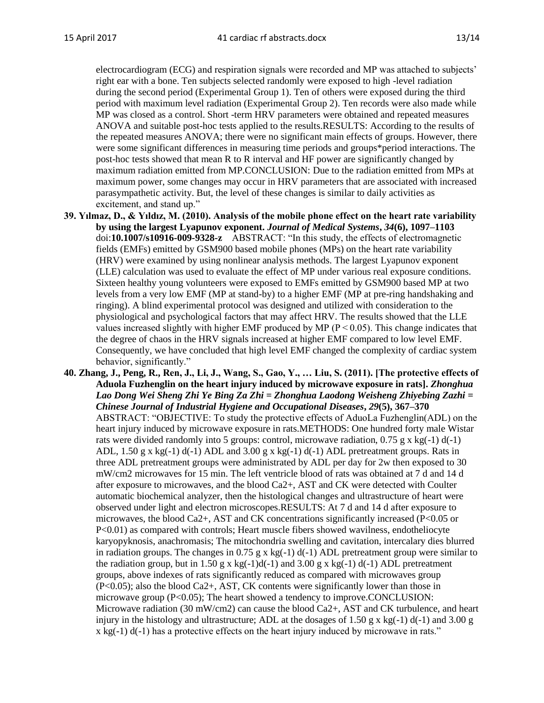electrocardiogram (ECG) and respiration signals were recorded and MP was attached to subjects' right ear with a bone. Ten subjects selected randomly were exposed to high -level radiation during the second period (Experimental Group 1). Ten of others were exposed during the third period with maximum level radiation (Experimental Group 2). Ten records were also made while MP was closed as a control. Short -term HRV parameters were obtained and repeated measures ANOVA and suitable post-hoc tests applied to the results.RESULTS: According to the results of the repeated measures ANOVA; there were no significant main effects of groups. However, there were some significant differences in measuring time periods and groups\*period interactions. The post-hoc tests showed that mean R to R interval and HF power are significantly changed by maximum radiation emitted from MP.CONCLUSION: Due to the radiation emitted from MPs at maximum power, some changes may occur in HRV parameters that are associated with increased parasympathetic activity. But, the level of these changes is similar to daily activities as excitement, and stand up."

- **39. Yılmaz, D., & Yıldız, M. (2010). Analysis of the mobile phone effect on the heart rate variability by using the largest Lyapunov exponent.** *Journal of Medical Systems***,** *34***(6), 1097–1103** doi:**10.1007/s10916-009-9328-z** ABSTRACT: "In this study, the effects of electromagnetic fields (EMFs) emitted by GSM900 based mobile phones (MPs) on the heart rate variability (HRV) were examined by using nonlinear analysis methods. The largest Lyapunov exponent (LLE) calculation was used to evaluate the effect of MP under various real exposure conditions. Sixteen healthy young volunteers were exposed to EMFs emitted by GSM900 based MP at two levels from a very low EMF (MP at stand-by) to a higher EMF (MP at pre-ring handshaking and ringing). A blind experimental protocol was designed and utilized with consideration to the physiological and psychological factors that may affect HRV. The results showed that the LLE values increased slightly with higher EMF produced by MP ( $P < 0.05$ ). This change indicates that the degree of chaos in the HRV signals increased at higher EMF compared to low level EMF. Consequently, we have concluded that high level EMF changed the complexity of cardiac system behavior, significantly."
- **40. Zhang, J., Peng, R., Ren, J., Li, J., Wang, S., Gao, Y., … Liu, S. (2011). [The protective effects of Aduola Fuzhenglin on the heart injury induced by microwave exposure in rats].** *Zhonghua Lao Dong Wei Sheng Zhi Ye Bing Za Zhi = Zhonghua Laodong Weisheng Zhiyebing Zazhi = Chinese Journal of Industrial Hygiene and Occupational Diseases***,** *29***(5), 367–370** ABSTRACT: "OBJECTIVE: To study the protective effects of AduoLa Fuzhenglin(ADL) on the heart injury induced by microwave exposure in rats.METHODS: One hundred forty male Wistar rats were divided randomly into 5 groups: control, microwave radiation,  $0.75$  g x kg(-1) d(-1) ADL,  $1.50$  g x kg(-1) d(-1) ADL and  $3.00$  g x kg(-1) d(-1) ADL pretreatment groups. Rats in three ADL pretreatment groups were administrated by ADL per day for 2w then exposed to 30 mW/cm2 microwaves for 15 min. The left ventricle blood of rats was obtained at 7 d and 14 d after exposure to microwaves, and the blood Ca2+, AST and CK were detected with Coulter automatic biochemical analyzer, then the histological changes and ultrastructure of heart were observed under light and electron microscopes.RESULTS: At 7 d and 14 d after exposure to microwaves, the blood Ca2+, AST and CK concentrations significantly increased (P<0.05 or P<0.01) as compared with controls; Heart muscle fibers showed wavilness, endotheliocyte karyopyknosis, anachromasis; The mitochondria swelling and cavitation, intercalary dies blurred in radiation groups. The changes in 0.75 g x kg(-1)  $d(-1)$  ADL pretreatment group were similar to the radiation group, but in 1.50 g x kg(-1)d(-1) and 3.00 g x kg(-1) d(-1) ADL pretreatment groups, above indexes of rats significantly reduced as compared with microwaves group (P<0.05); also the blood Ca2+, AST, CK contents were significantly lower than those in microwave group (P<0.05); The heart showed a tendency to improve.CONCLUSION: Microwave radiation (30 mW/cm2) can cause the blood Ca2+, AST and CK turbulence, and heart injury in the histology and ultrastructure; ADL at the dosages of 1.50 g x kg(-1) d(-1) and 3.00 g  $x \text{ kg}(-1) d(-1)$  has a protective effects on the heart injury induced by microwave in rats."